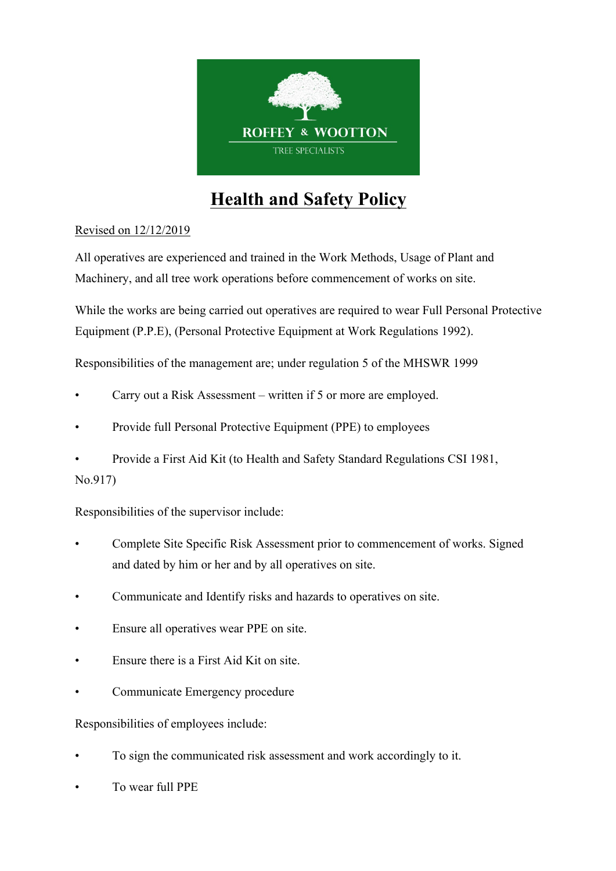

# **Health and Safety Policy**

## Revised on 12/12/2019

All operatives are experienced and trained in the Work Methods, Usage of Plant and Machinery, and all tree work operations before commencement of works on site.

While the works are being carried out operatives are required to wear Full Personal Protective Equipment (P.P.E), (Personal Protective Equipment at Work Regulations 1992).

Responsibilities of the management are; under regulation 5 of the MHSWR 1999

- Carry out a Risk Assessment written if 5 or more are employed.
- Provide full Personal Protective Equipment (PPE) to employees
- Provide a First Aid Kit (to Health and Safety Standard Regulations CSI 1981, No.917)

Responsibilities of the supervisor include:

- Complete Site Specific Risk Assessment prior to commencement of works. Signed and dated by him or her and by all operatives on site.
- Communicate and Identify risks and hazards to operatives on site.
- Ensure all operatives wear PPE on site.
- Ensure there is a First Aid Kit on site.
- Communicate Emergency procedure

Responsibilities of employees include:

- To sign the communicated risk assessment and work accordingly to it.
- To wear full PPE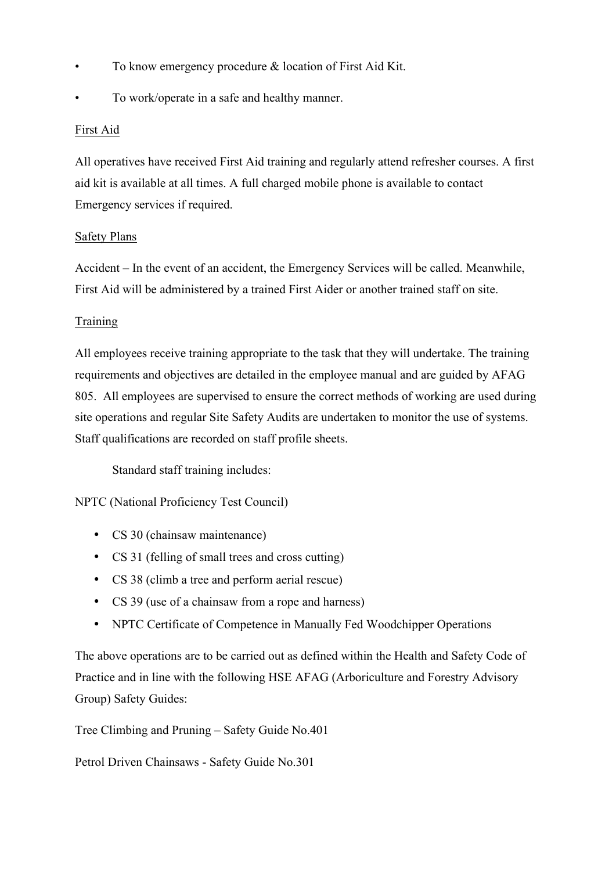- To know emergency procedure & location of First Aid Kit.
- To work/operate in a safe and healthy manner.

#### First Aid

All operatives have received First Aid training and regularly attend refresher courses. A first aid kit is available at all times. A full charged mobile phone is available to contact Emergency services if required.

#### Safety Plans

Accident – In the event of an accident, the Emergency Services will be called. Meanwhile, First Aid will be administered by a trained First Aider or another trained staff on site.

#### **Training**

All employees receive training appropriate to the task that they will undertake. The training requirements and objectives are detailed in the employee manual and are guided by AFAG 805. All employees are supervised to ensure the correct methods of working are used during site operations and regular Site Safety Audits are undertaken to monitor the use of systems. Staff qualifications are recorded on staff profile sheets.

Standard staff training includes:

NPTC (National Proficiency Test Council)

- CS 30 (chainsaw maintenance)
- CS 31 (felling of small trees and cross cutting)
- CS 38 (climb a tree and perform aerial rescue)
- CS 39 (use of a chainsaw from a rope and harness)
- NPTC Certificate of Competence in Manually Fed Woodchipper Operations

The above operations are to be carried out as defined within the Health and Safety Code of Practice and in line with the following HSE AFAG (Arboriculture and Forestry Advisory Group) Safety Guides:

Tree Climbing and Pruning – Safety Guide No.401

Petrol Driven Chainsaws - Safety Guide No.301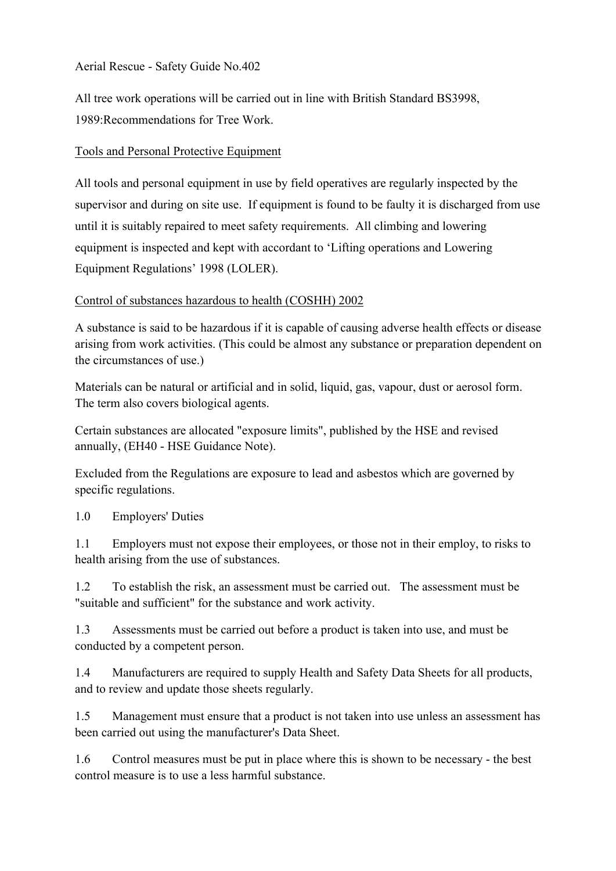Aerial Rescue - Safety Guide No.402

All tree work operations will be carried out in line with British Standard BS3998, 1989:Recommendations for Tree Work.

### Tools and Personal Protective Equipment

All tools and personal equipment in use by field operatives are regularly inspected by the supervisor and during on site use. If equipment is found to be faulty it is discharged from use until it is suitably repaired to meet safety requirements. All climbing and lowering equipment is inspected and kept with accordant to 'Lifting operations and Lowering Equipment Regulations' 1998 (LOLER).

#### Control of substances hazardous to health (COSHH) 2002

A substance is said to be hazardous if it is capable of causing adverse health effects or disease arising from work activities. (This could be almost any substance or preparation dependent on the circumstances of use.)

Materials can be natural or artificial and in solid, liquid, gas, vapour, dust or aerosol form. The term also covers biological agents.

Certain substances are allocated "exposure limits", published by the HSE and revised annually, (EH40 - HSE Guidance Note).

Excluded from the Regulations are exposure to lead and asbestos which are governed by specific regulations.

1.0 Employers' Duties

1.1 Employers must not expose their employees, or those not in their employ, to risks to health arising from the use of substances.

1.2 To establish the risk, an assessment must be carried out. The assessment must be "suitable and sufficient" for the substance and work activity.

1.3 Assessments must be carried out before a product is taken into use, and must be conducted by a competent person.

1.4 Manufacturers are required to supply Health and Safety Data Sheets for all products, and to review and update those sheets regularly.

1.5 Management must ensure that a product is not taken into use unless an assessment has been carried out using the manufacturer's Data Sheet.

1.6 Control measures must be put in place where this is shown to be necessary - the best control measure is to use a less harmful substance.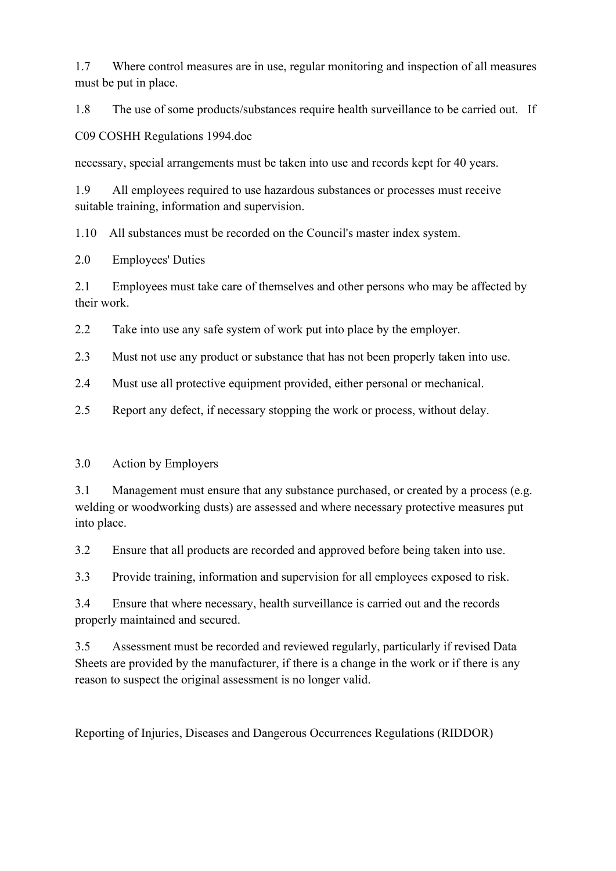1.7 Where control measures are in use, regular monitoring and inspection of all measures must be put in place.

1.8 The use of some products/substances require health surveillance to be carried out. If

C09 COSHH Regulations 1994.doc

necessary, special arrangements must be taken into use and records kept for 40 years.

1.9 All employees required to use hazardous substances or processes must receive suitable training, information and supervision.

1.10 All substances must be recorded on the Council's master index system.

2.0 Employees' Duties

2.1 Employees must take care of themselves and other persons who may be affected by their work.

2.2 Take into use any safe system of work put into place by the employer.

2.3 Must not use any product or substance that has not been properly taken into use.

2.4 Must use all protective equipment provided, either personal or mechanical.

2.5 Report any defect, if necessary stopping the work or process, without delay.

## 3.0 Action by Employers

3.1 Management must ensure that any substance purchased, or created by a process (e.g. welding or woodworking dusts) are assessed and where necessary protective measures put into place.

3.2 Ensure that all products are recorded and approved before being taken into use.

3.3 Provide training, information and supervision for all employees exposed to risk.

3.4 Ensure that where necessary, health surveillance is carried out and the records properly maintained and secured.

3.5 Assessment must be recorded and reviewed regularly, particularly if revised Data Sheets are provided by the manufacturer, if there is a change in the work or if there is any reason to suspect the original assessment is no longer valid.

Reporting of Injuries, Diseases and Dangerous Occurrences Regulations (RIDDOR)